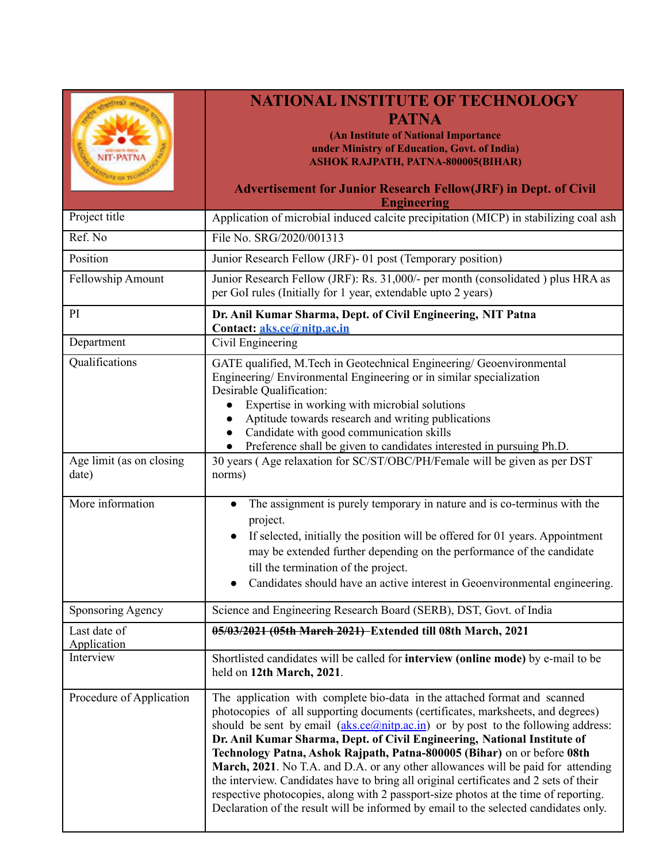|                                                                                  | <b>NATIONAL INSTITUTE OF TECHNOLOGY</b>                                                                                                                                     |  |  |  |  |
|----------------------------------------------------------------------------------|-----------------------------------------------------------------------------------------------------------------------------------------------------------------------------|--|--|--|--|
|                                                                                  | <b>PATNA</b>                                                                                                                                                                |  |  |  |  |
|                                                                                  | (An Institute of National Importance                                                                                                                                        |  |  |  |  |
|                                                                                  | under Ministry of Education, Govt. of India)<br><b>ASHOK RAJPATH, PATNA-800005(BIHAR)</b>                                                                                   |  |  |  |  |
|                                                                                  |                                                                                                                                                                             |  |  |  |  |
|                                                                                  | <b>Advertisement for Junior Research Fellow(JRF) in Dept. of Civil</b>                                                                                                      |  |  |  |  |
| Project title                                                                    | <b>Engineering</b><br>Application of microbial induced calcite precipitation (MICP) in stabilizing coal ash                                                                 |  |  |  |  |
| Ref. No                                                                          | File No. SRG/2020/001313                                                                                                                                                    |  |  |  |  |
| Position                                                                         |                                                                                                                                                                             |  |  |  |  |
|                                                                                  | Junior Research Fellow (JRF)- 01 post (Temporary position)                                                                                                                  |  |  |  |  |
| Fellowship Amount                                                                | Junior Research Fellow (JRF): Rs. 31,000/- per month (consolidated) plus HRA as<br>per GoI rules (Initially for 1 year, extendable upto 2 years)                            |  |  |  |  |
| PI                                                                               | Dr. Anil Kumar Sharma, Dept. of Civil Engineering, NIT Patna<br>Contact: aks.ce@nitp.ac.in                                                                                  |  |  |  |  |
| Department                                                                       | Civil Engineering                                                                                                                                                           |  |  |  |  |
| Qualifications                                                                   | GATE qualified, M.Tech in Geotechnical Engineering/ Geoenvironmental                                                                                                        |  |  |  |  |
|                                                                                  | Engineering/Environmental Engineering or in similar specialization                                                                                                          |  |  |  |  |
|                                                                                  | Desirable Qualification:<br>Expertise in working with microbial solutions                                                                                                   |  |  |  |  |
|                                                                                  | Aptitude towards research and writing publications                                                                                                                          |  |  |  |  |
|                                                                                  | Candidate with good communication skills<br>$\bullet$                                                                                                                       |  |  |  |  |
|                                                                                  | Preference shall be given to candidates interested in pursuing Ph.D.<br>$\bullet$                                                                                           |  |  |  |  |
| Age limit (as on closing<br>date)                                                | 30 years (Age relaxation for SC/ST/OBC/PH/Female will be given as per DST<br>norms)                                                                                         |  |  |  |  |
|                                                                                  |                                                                                                                                                                             |  |  |  |  |
| More information                                                                 | The assignment is purely temporary in nature and is co-terminus with the<br>$\bullet$<br>project.                                                                           |  |  |  |  |
|                                                                                  | If selected, initially the position will be offered for 01 years. Appointment                                                                                               |  |  |  |  |
|                                                                                  | may be extended further depending on the performance of the candidate                                                                                                       |  |  |  |  |
|                                                                                  | till the termination of the project.                                                                                                                                        |  |  |  |  |
|                                                                                  | Candidates should have an active interest in Geoenvironmental engineering.                                                                                                  |  |  |  |  |
| Sponsoring Agency                                                                | Science and Engineering Research Board (SERB), DST, Govt. of India                                                                                                          |  |  |  |  |
| Last date of<br>Application                                                      | 05/03/2021 (05th March 2021) Extended till 08th March, 2021                                                                                                                 |  |  |  |  |
| Interview                                                                        | Shortlisted candidates will be called for interview (online mode) by e-mail to be<br>held on 12th March, 2021.                                                              |  |  |  |  |
| Procedure of Application                                                         | The application with complete bio-data in the attached format and scanned                                                                                                   |  |  |  |  |
|                                                                                  | photocopies of all supporting documents (certificates, marksheets, and degrees)                                                                                             |  |  |  |  |
|                                                                                  | should be sent by email $(aks.ce@nity.ac.in)$ or by post to the following address:                                                                                          |  |  |  |  |
|                                                                                  | Dr. Anil Kumar Sharma, Dept. of Civil Engineering, National Institute of<br>Technology Patna, Ashok Rajpath, Patna-800005 (Bihar) on or before 08th                         |  |  |  |  |
| March, 2021. No T.A. and D.A. or any other allowances will be paid for attending |                                                                                                                                                                             |  |  |  |  |
|                                                                                  | the interview. Candidates have to bring all original certificates and 2 sets of their                                                                                       |  |  |  |  |
|                                                                                  | respective photocopies, along with 2 passport-size photos at the time of reporting.<br>Declaration of the result will be informed by email to the selected candidates only. |  |  |  |  |
|                                                                                  |                                                                                                                                                                             |  |  |  |  |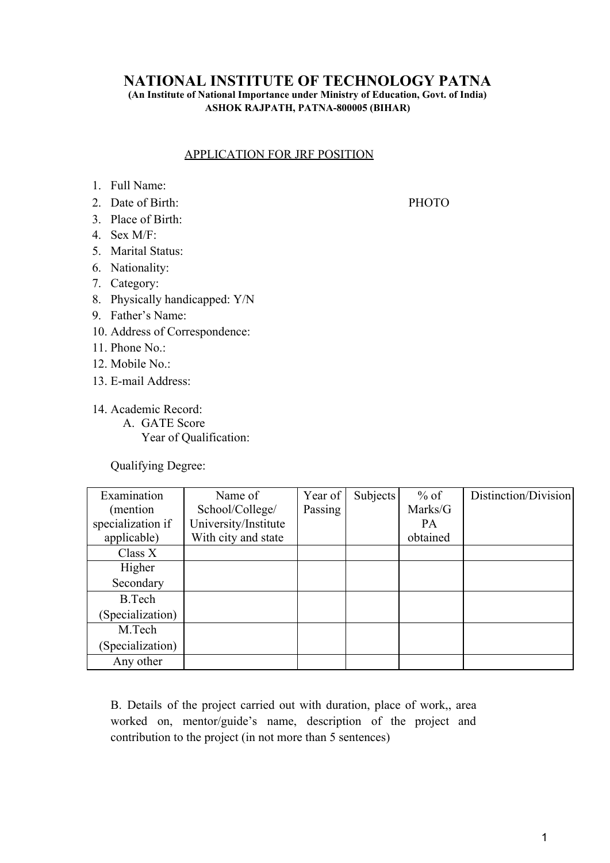## **NATIONAL INSTITUTE OF TECHNOLOGY PATNA**

**(An Institute of National Importance under Ministry of Education, Govt. of India) ASHOK RAJPATH, PATNA-800005 (BIHAR)**

## APPLICATION FOR JRF POSITION

- 1. Full Name:
- 2. Date of Birth: PHOTO
- 3. Place of Birth:
- 4. Sex M/F:
- 5. Marital Status:
- 6. Nationality:
- 7. Category:
- 8. Physically handicapped: Y/N
- 9. Father's Name:
- 10. Address of Correspondence:
- 11. Phone No.:
- 12. Mobile No.:
- 13. E-mail Address:
- 14. Academic Record: A. GATE Score Year of Qualification:

Qualifying Degree:

| Examination       | Name of              | Year of | Subjects | $%$ of    | Distinction/Division |
|-------------------|----------------------|---------|----------|-----------|----------------------|
| (mention          | School/College/      | Passing |          | Marks/G   |                      |
| specialization if | University/Institute |         |          | <b>PA</b> |                      |
| applicable)       | With city and state  |         |          | obtained  |                      |
| Class X           |                      |         |          |           |                      |
| Higher            |                      |         |          |           |                      |
| Secondary         |                      |         |          |           |                      |
| <b>B.Tech</b>     |                      |         |          |           |                      |
| (Specialization)  |                      |         |          |           |                      |
| M.Tech            |                      |         |          |           |                      |
| (Specialization)  |                      |         |          |           |                      |
| Any other         |                      |         |          |           |                      |

B. Details of the project carried out with duration, place of work,, area worked on, mentor/guide's name, description of the project and contribution to the project (in not more than 5 sentences)